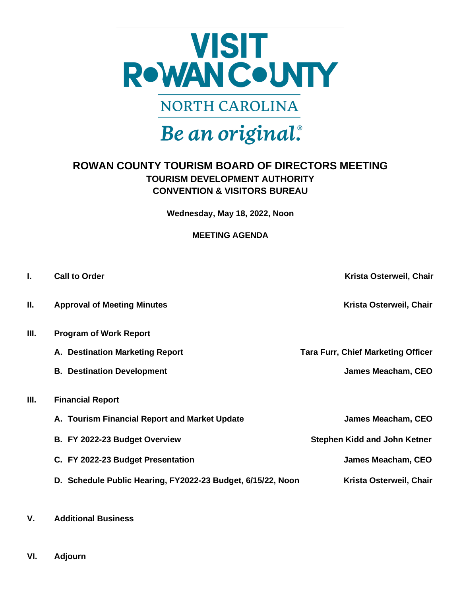

**NORTH CAROLINA** 

# Be an original.

## **ROWAN COUNTY TOURISM BOARD OF DIRECTORS MEETING TOURISM DEVELOPMENT AUTHORITY CONVENTION & VISITORS BUREAU**

**Wednesday, May 18, 2022, Noon**

#### **MEETING AGENDA**

| <b>Call to Order</b>                                        | Krista Osterweil, Chair                   |
|-------------------------------------------------------------|-------------------------------------------|
| <b>Approval of Meeting Minutes</b>                          | Krista Osterweil, Chair                   |
| <b>Program of Work Report</b>                               |                                           |
| A. Destination Marketing Report                             | <b>Tara Furr, Chief Marketing Officer</b> |
| <b>B. Destination Development</b>                           | James Meacham, CEO                        |
| <b>Financial Report</b>                                     |                                           |
| A. Tourism Financial Report and Market Update               | James Meacham, CEO                        |
| B. FY 2022-23 Budget Overview                               | <b>Stephen Kidd and John Ketner</b>       |
| C. FY 2022-23 Budget Presentation                           | James Meacham, CEO                        |
| D. Schedule Public Hearing, FY2022-23 Budget, 6/15/22, Noon | Krista Osterweil, Chair                   |
|                                                             |                                           |

- **V. Additional Business**
- **VI. Adjourn**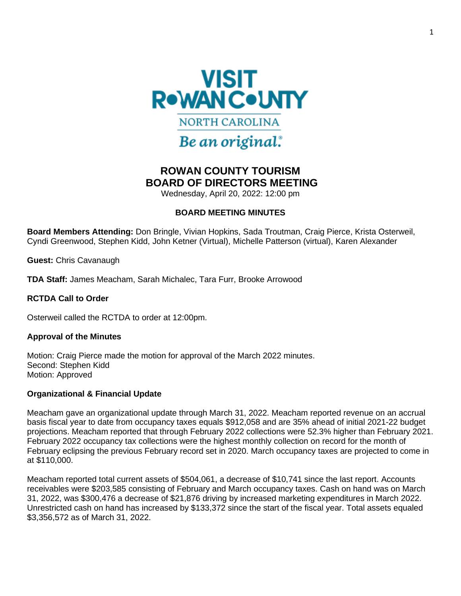

## Be an original.

## **ROWAN COUNTY TOURISM BOARD OF DIRECTORS MEETING**

Wednesday, April 20, 2022: 12:00 pm

#### **BOARD MEETING MINUTES**

**Board Members Attending:** Don Bringle, Vivian Hopkins, Sada Troutman, Craig Pierce, Krista Osterweil, Cyndi Greenwood, Stephen Kidd, John Ketner (Virtual), Michelle Patterson (virtual), Karen Alexander

**Guest:** Chris Cavanaugh

**TDA Staff:** James Meacham, Sarah Michalec, Tara Furr, Brooke Arrowood

#### **RCTDA Call to Order**

Osterweil called the RCTDA to order at 12:00pm.

#### **Approval of the Minutes**

Motion: Craig Pierce made the motion for approval of the March 2022 minutes. Second: Stephen Kidd Motion: Approved

#### **Organizational & Financial Update**

Meacham gave an organizational update through March 31, 2022. Meacham reported revenue on an accrual basis fiscal year to date from occupancy taxes equals \$912,058 and are 35% ahead of initial 2021-22 budget projections. Meacham reported that through February 2022 collections were 52.3% higher than February 2021. February 2022 occupancy tax collections were the highest monthly collection on record for the month of February eclipsing the previous February record set in 2020. March occupancy taxes are projected to come in at \$110,000.

Meacham reported total current assets of \$504,061, a decrease of \$10,741 since the last report. Accounts receivables were \$203,585 consisting of February and March occupancy taxes. Cash on hand was on March 31, 2022, was \$300,476 a decrease of \$21,876 driving by increased marketing expenditures in March 2022. Unrestricted cash on hand has increased by \$133,372 since the start of the fiscal year. Total assets equaled \$3,356,572 as of March 31, 2022.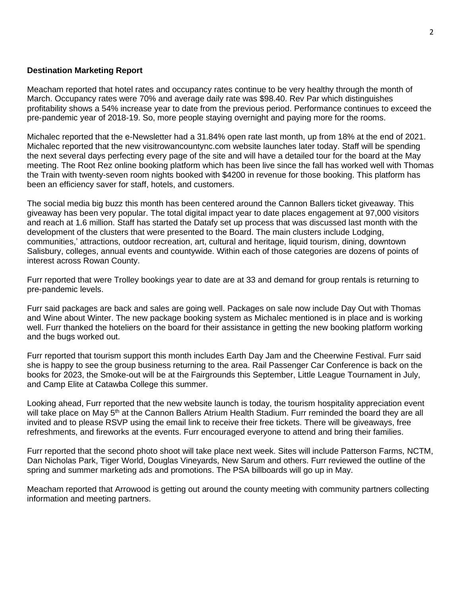#### **Destination Marketing Report**

Meacham reported that hotel rates and occupancy rates continue to be very healthy through the month of March. Occupancy rates were 70% and average daily rate was \$98.40. Rev Par which distinguishes profitability shows a 54% increase year to date from the previous period. Performance continues to exceed the pre-pandemic year of 2018-19. So, more people staying overnight and paying more for the rooms.

Michalec reported that the e-Newsletter had a 31.84% open rate last month, up from 18% at the end of 2021. Michalec reported that the new visitrowancountync.com website launches later today. Staff will be spending the next several days perfecting every page of the site and will have a detailed tour for the board at the May meeting. The Root Rez online booking platform which has been live since the fall has worked well with Thomas the Train with twenty-seven room nights booked with \$4200 in revenue for those booking. This platform has been an efficiency saver for staff, hotels, and customers.

The social media big buzz this month has been centered around the Cannon Ballers ticket giveaway. This giveaway has been very popular. The total digital impact year to date places engagement at 97,000 visitors and reach at 1.6 million. Staff has started the Datafy set up process that was discussed last month with the development of the clusters that were presented to the Board. The main clusters include Lodging, communities,' attractions, outdoor recreation, art, cultural and heritage, liquid tourism, dining, downtown Salisbury, colleges, annual events and countywide. Within each of those categories are dozens of points of interest across Rowan County.

Furr reported that were Trolley bookings year to date are at 33 and demand for group rentals is returning to pre-pandemic levels.

Furr said packages are back and sales are going well. Packages on sale now include Day Out with Thomas and Wine about Winter. The new package booking system as Michalec mentioned is in place and is working well. Furr thanked the hoteliers on the board for their assistance in getting the new booking platform working and the bugs worked out.

Furr reported that tourism support this month includes Earth Day Jam and the Cheerwine Festival. Furr said she is happy to see the group business returning to the area. Rail Passenger Car Conference is back on the books for 2023, the Smoke-out will be at the Fairgrounds this September, Little League Tournament in July, and Camp Elite at Catawba College this summer.

Looking ahead, Furr reported that the new website launch is today, the tourism hospitality appreciation event will take place on May 5<sup>th</sup> at the Cannon Ballers Atrium Health Stadium. Furr reminded the board they are all invited and to please RSVP using the email link to receive their free tickets. There will be giveaways, free refreshments, and fireworks at the events. Furr encouraged everyone to attend and bring their families.

Furr reported that the second photo shoot will take place next week. Sites will include Patterson Farms, NCTM, Dan Nicholas Park, Tiger World, Douglas Vineyards, New Sarum and others. Furr reviewed the outline of the spring and summer marketing ads and promotions. The PSA billboards will go up in May.

Meacham reported that Arrowood is getting out around the county meeting with community partners collecting information and meeting partners.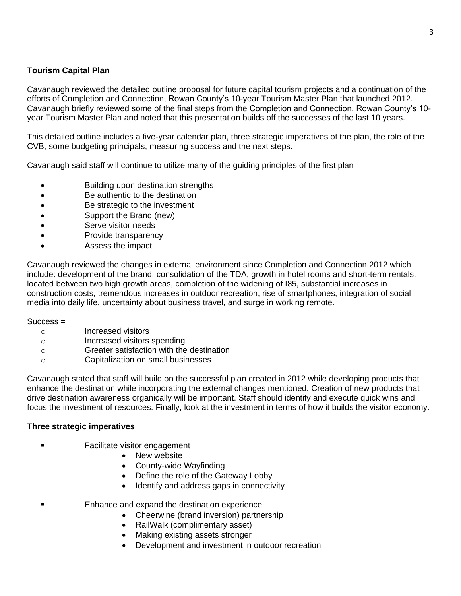#### **Tourism Capital Plan**

Cavanaugh reviewed the detailed outline proposal for future capital tourism projects and a continuation of the efforts of Completion and Connection, Rowan County's 10-year Tourism Master Plan that launched 2012. Cavanaugh briefly reviewed some of the final steps from the Completion and Connection, Rowan County's 10 year Tourism Master Plan and noted that this presentation builds off the successes of the last 10 years.

This detailed outline includes a five-year calendar plan, three strategic imperatives of the plan, the role of the CVB, some budgeting principals, measuring success and the next steps.

Cavanaugh said staff will continue to utilize many of the guiding principles of the first plan

- Building upon destination strengths
- Be authentic to the destination
- Be strategic to the investment
- Support the Brand (new)
- Serve visitor needs
- Provide transparency
- Assess the impact

Cavanaugh reviewed the changes in external environment since Completion and Connection 2012 which include: development of the brand, consolidation of the TDA, growth in hotel rooms and short-term rentals, located between two high growth areas, completion of the widening of I85, substantial increases in construction costs, tremendous increases in outdoor recreation, rise of smartphones, integration of social media into daily life, uncertainty about business travel, and surge in working remote.

#### Success =

- o Increased visitors
- o Increased visitors spending
- o Greater satisfaction with the destination
- o Capitalization on small businesses

Cavanaugh stated that staff will build on the successful plan created in 2012 while developing products that enhance the destination while incorporating the external changes mentioned. Creation of new products that drive destination awareness organically will be important. Staff should identify and execute quick wins and focus the investment of resources. Finally, look at the investment in terms of how it builds the visitor economy.

#### **Three strategic imperatives**

- **Facilitate visitor engagement** 
	- New website
	- County-wide Wayfinding
	- Define the role of the Gateway Lobby
	- Identify and address gaps in connectivity
	- Enhance and expand the destination experience
		- Cheerwine (brand inversion) partnership
		- RailWalk (complimentary asset)
		- Making existing assets stronger
		- Development and investment in outdoor recreation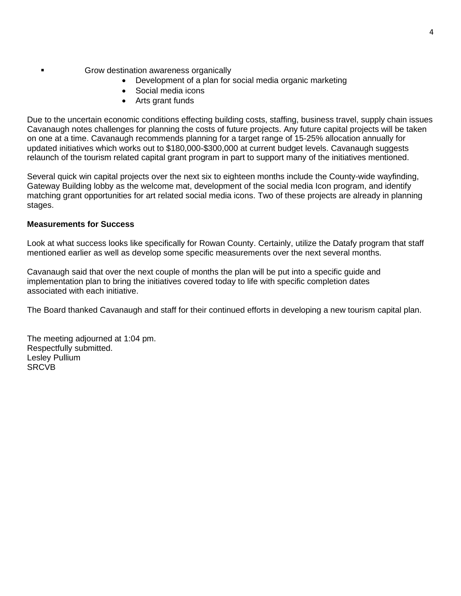- Grow destination awareness organically
	- Development of a plan for social media organic marketing
	- Social media icons
	- Arts grant funds

Due to the uncertain economic conditions effecting building costs, staffing, business travel, supply chain issues Cavanaugh notes challenges for planning the costs of future projects. Any future capital projects will be taken on one at a time. Cavanaugh recommends planning for a target range of 15-25% allocation annually for updated initiatives which works out to \$180,000-\$300,000 at current budget levels. Cavanaugh suggests relaunch of the tourism related capital grant program in part to support many of the initiatives mentioned.

Several quick win capital projects over the next six to eighteen months include the County-wide wayfinding, Gateway Building lobby as the welcome mat, development of the social media Icon program, and identify matching grant opportunities for art related social media icons. Two of these projects are already in planning stages.

#### **Measurements for Success**

Look at what success looks like specifically for Rowan County. Certainly, utilize the Datafy program that staff mentioned earlier as well as develop some specific measurements over the next several months.

Cavanaugh said that over the next couple of months the plan will be put into a specific guide and implementation plan to bring the initiatives covered today to life with specific completion dates associated with each initiative.

The Board thanked Cavanaugh and staff for their continued efforts in developing a new tourism capital plan.

The meeting adjourned at 1:04 pm. Respectfully submitted. Lesley Pullium **SRCVB**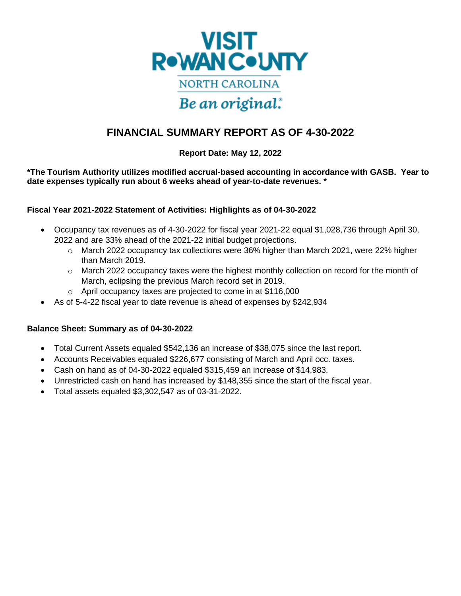

## **FINANCIAL SUMMARY REPORT AS OF 4-30-2022**

#### **Report Date: May 12, 2022**

**\*The Tourism Authority utilizes modified accrual-based accounting in accordance with GASB. Year to date expenses typically run about 6 weeks ahead of year-to-date revenues. \***

#### **Fiscal Year 2021-2022 Statement of Activities: Highlights as of 04-30-2022**

- Occupancy tax revenues as of 4-30-2022 for fiscal year 2021-22 equal \$1,028,736 through April 30, 2022 and are 33% ahead of the 2021-22 initial budget projections.
	- $\circ$  March 2022 occupancy tax collections were 36% higher than March 2021, were 22% higher than March 2019.
	- $\circ$  March 2022 occupancy taxes were the highest monthly collection on record for the month of March, eclipsing the previous March record set in 2019.
	- o April occupancy taxes are projected to come in at \$116,000
- As of 5-4-22 fiscal year to date revenue is ahead of expenses by \$242,934

#### **Balance Sheet: Summary as of 04-30-2022**

- Total Current Assets equaled \$542,136 an increase of \$38,075 since the last report.
- Accounts Receivables equaled \$226,677 consisting of March and April occ. taxes.
- Cash on hand as of 04-30-2022 equaled \$315,459 an increase of \$14,983.
- Unrestricted cash on hand has increased by \$148,355 since the start of the fiscal year.
- Total assets equaled \$3,302,547 as of 03-31-2022.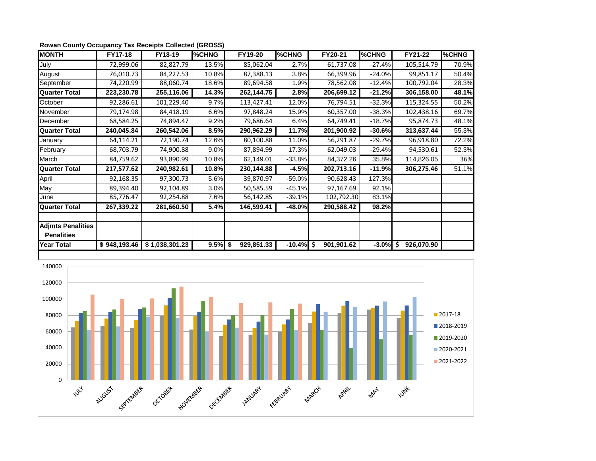| <b>MONTH</b>             | FY17-18      | FY18-19        | <b>%CHNG</b> | FY19-20          | %CHNG    | FY20-21          | %CHNG       | FY21-22    | %CHNG |
|--------------------------|--------------|----------------|--------------|------------------|----------|------------------|-------------|------------|-------|
| July                     | 72,999.06    | 82,827.79      | 13.5%        | 85,062.04        | 2.7%     | 61,737.08        | $-27.4%$    | 105,514.79 | 70.9% |
| August                   | 76,010.73    | 84,227.53      | 10.8%        | 87,388.13        | 3.8%     | 66,399.96        | $-24.0%$    | 99,851.17  | 50.4% |
| September                | 74,220.99    | 88,060.74      | 18.6%        | 89,694.58        | 1.9%     | 78,562.08        | $-12.4%$    | 100,792.04 | 28.3% |
| <b>Quarter Total</b>     | 223,230.78   | 255,116.06     | 14.3%        | 262,144.75       | 2.8%     | 206,699.12       | $-21.2%$    | 306,158.00 | 48.1% |
| October                  | 92,286.61    | 101,229.40     | 9.7%         | 113,427.41       | 12.0%    | 76,794.51        | $-32.3%$    | 115,324.55 | 50.2% |
| November                 | 79,174.98    | 84,418.19      | 6.6%         | 97,848.24        | 15.9%    | 60,357.00        | $-38.3%$    | 102,438.16 | 69.7% |
| December                 | 68,584.25    | 74,894.47      | 9.2%         | 79,686.64        | 6.4%     | 64,749.41        | $-18.7%$    | 95,874.73  | 48.1% |
| <b>Quarter Total</b>     | 240,045.84   | 260,542.06     | 8.5%         | 290,962.29       | 11.7%    | 201,900.92       | $-30.6%$    | 313,637.44 | 55.3% |
| January                  | 64,114.21    | 72,190.74      | 12.6%        | 80,100.88        | 11.0%    | 56,291.87        | $-29.7%$    | 96,918.80  | 72.2% |
| February                 | 68,703.79    | 74,900.88      | 9.0%         | 87,894.99        | 17.3%    | 62,049.03        | $-29.4%$    | 94,530.61  | 52.3% |
| March                    | 84,759.62    | 93,890.99      | 10.8%        | 62,149.01        | $-33.8%$ | 84,372.26        | 35.8%       | 114,826.05 | 36%   |
| <b>Quarter Total</b>     | 217,577.62   | 240,982.61     | 10.8%        | 230,144.88       | $-4.5%$  | 202,713.16       | $-11.9%$    | 306,275.46 | 51.1% |
| April                    | 92,168.35    | 97,300.73      | 5.6%         | 39,870.97        | $-59.0%$ | 90,628.43        | 127.3%      |            |       |
| May                      | 89,394.40    | 92,104.89      | 3.0%         | 50,585.59        | $-45.1%$ | 97,167.69        | 92.1%       |            |       |
| June                     | 85,776.47    | 92,254.88      | 7.6%         | 56,142.85        | $-39.1%$ | 102,792.30       | 83.1%       |            |       |
| <b>Quarter Total</b>     | 267,339.22   | 281,660.50     | 5.4%         | 146,599.41       | -48.0%   | 290,588.42       | 98.2%       |            |       |
| <b>Adjmts Penalities</b> |              |                |              |                  |          |                  |             |            |       |
| <b>Penalities</b>        |              |                |              |                  |          |                  |             |            |       |
| <b>Year Total</b>        | \$948,193.46 | \$1,038,301.23 | 9.5%         | 929,851.33<br>\$ | $-10.4%$ | \$<br>901,901.62 | $-3.0\%$ \$ | 926,070.90 |       |

#### **Rowan County Occupancy Tax Receipts Collected (GROSS)**

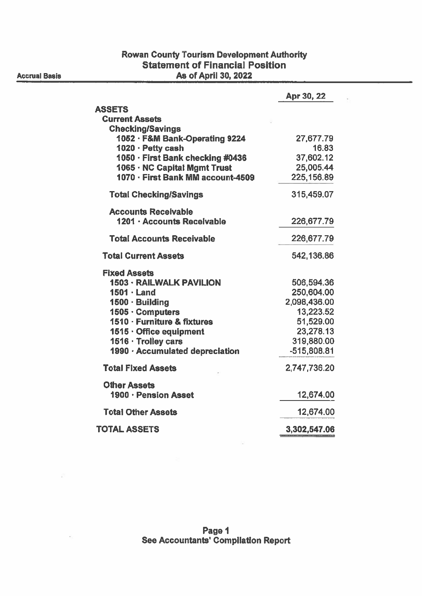## **Rowan County Tourism Development Authority<br>Statement of Financial Position** As of April 30, 2022

|                                   | Apr 30, 22    |
|-----------------------------------|---------------|
| <b>ASSETS</b>                     |               |
| <b>Current Assets</b>             |               |
| <b>Checking/Savings</b>           |               |
| 1052 · F&M Bank-Operating 9224    | 27,677.79     |
| 1020 · Petty cash                 | 16.83         |
| 1050 · First Bank checking #0436  | 37,602.12     |
| 1065 · NC Capital Mgmt Trust      | 25,005.44     |
| 1070 - First Bank MM account-4509 | 225,156.89    |
| <b>Total Checking/Savings</b>     | 315,459.07    |
| <b>Accounts Receivable</b>        |               |
| 1201 · Accounts Receivable        | 226,677.79    |
| <b>Total Accounts Receivable</b>  | 226,677.79    |
| <b>Total Current Assets</b>       | 542,136.86    |
| <b>Fixed Assets</b>               |               |
| <b>1503 - RAILWALK PAVILION</b>   | 506,594.36    |
| $1501 \cdot$ Land                 | 250,604.00    |
| 1500 · Building                   | 2,098,436.00  |
| 1505 · Computers                  | 13,223.52     |
| 1510 - Furniture & fixtures       | 51,529.00     |
| 1515 · Office equipment           | 23,278.13     |
| 1516 · Trolley cars               | 319,880.00    |
| 1990 · Accumulated depreciation   | $-515,808.81$ |
| <b>Total Fixed Assets</b>         | 2,747,736.20  |
| <b>Other Assets</b>               |               |
| 1900 · Pension Asset              | 12,674.00     |
| <b>Total Other Assets</b>         | 12,674.00     |
| <b>TOTAL ASSETS</b>               | 3,302,547.06  |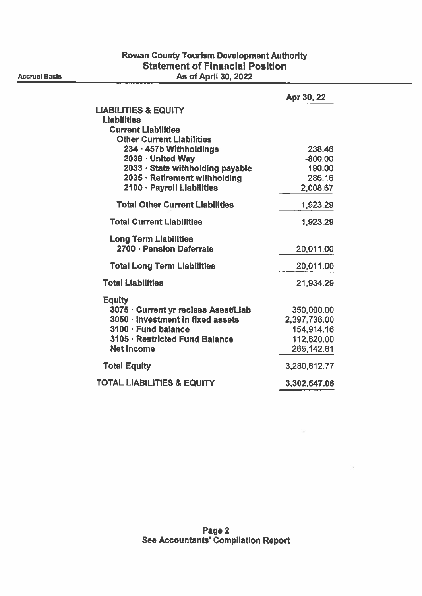### **Rowan County Tourism Development Authority Statement of Financial Position** As of April 30, 2022

|                                                       | Apr 30, 22          |
|-------------------------------------------------------|---------------------|
| <b>LIABILITIES &amp; EQUITY</b>                       |                     |
| <b>Liabilities</b>                                    |                     |
| <b>Current Liabilities</b>                            |                     |
| <b>Other Current Liabilities</b>                      |                     |
| 234 · 457b Withholdings                               | 238.46              |
| 2039 · United Way<br>2033 · State withholding payable | $-800.00$<br>190.00 |
| 2035 · Retirement withholding                         | 286.16              |
| 2100 · Payroll Liabilities                            | 2,008.67            |
| <b>Total Other Current Liabilities</b>                | 1,923.29            |
| <b>Total Current Liabilities</b>                      | 1,923.29            |
| <b>Long Term Liabilities</b>                          |                     |
| 2700 · Pension Deferrals                              | 20,011.00           |
| <b>Total Long Term Liabilities</b>                    | 20,011.00           |
| <b>Total Liabilities</b>                              | 21,934.29           |
| <b>Equity</b>                                         |                     |
| 3075 · Current yr reclass Asset/Liab                  | 350,000.00          |
| 3050 · Investment in fixed assets                     | 2,397,736.00        |
| 3100 · Fund balance                                   | 154,914.16          |
| 3105 · Restricted Fund Balance                        | 112,820.00          |
| <b>Net Income</b>                                     | 265,142.61          |
| <b>Total Equity</b>                                   | 3,280,612.77        |
| <b>TOTAL LIABILITIES &amp; EQUITY</b>                 | 3,302,547.06        |
|                                                       |                     |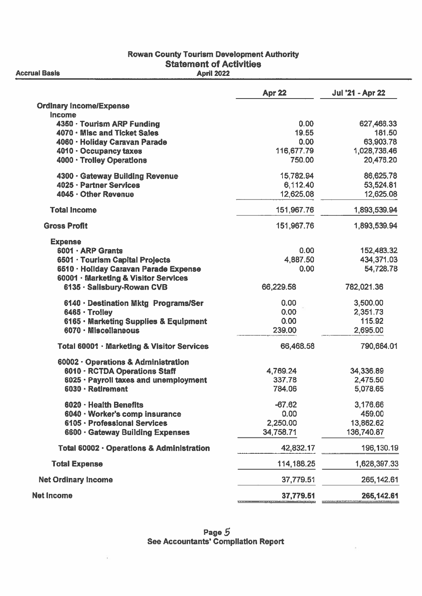#### **Rowan County Tourism Development Authority Statement of Activities April 2022**

**Apr 22 Jul '21 - Apr 22 Ordinary Income/Expense** Income 4350 · Tourism ARP Funding  $0.00$ 627.466.33 4070 · Misc and Ticket Sales 19.55 181.50 4060 · Holidav Caravan Parade  $0.00$ 63.903.78 4010 · Occupancy taxes 116,677.79 1,028,736.46 4000 · Trolley Operations 750.00 20.476.20 4300 · Gateway Building Revenue 15,782.94 86.625.78 4025 - Partner Services 6.112.40 53.524.81 4045 - Other Revenue 12,625,08 12,625.08 **Total Income** 1,893,539.94 151.967.76 **Gross Profit** 151.967.76 1.893.539.94 **Expense** 6001 · ARP Grants  $0.00$ 152.483.32 6501 · Tourism Capital Projects 4.887.50 434,371.03 6510 · Hollday Caravan Parade Expense  $0.00.$ 54.728.78 60001 · Marketing & Visitor Services 6135 - Salisbury-Rowan CVB 66,229.58 782,021.36  $0.00$ 3,500.00 6140 · Destination Mktg Programs/Ser 6465 - Troilev  $0.00$ 2.351.73  $0.00$ 115.92 6165 • Marketing Supplies & Equipment 6070 - Miscellaneous 239.00 2,695.00 Total 60001 · Marketing & Visitor Services 66,468.58 790,684.01 60002 · Operations & Administration 6010 - RCTDA Operations Staff 4.769.24 34,336.89 6025 · Payroll taxes and unemployment 337.78 2,475.50 6030 · Retirement 784.06 5,078.65  $-67.62$ 6020 · Health Benefits 3,176,66 6040 · Worker's comp insurance  $0.00$ 459.00 6105 - Professional Services 2.250.00 13.862.62 6600 · Gateway Building Expenses 34,758.71 136,740.87 Total 60002 · Operations & Administration 42,832.17 196,130.19 **Total Expense** 114,188.25 1,628,397.33 **Net Ordinary Income** 37,779.51 265, 142.61 **Net Income** 37,779.51 265, 142.61

**Accrual Basis**